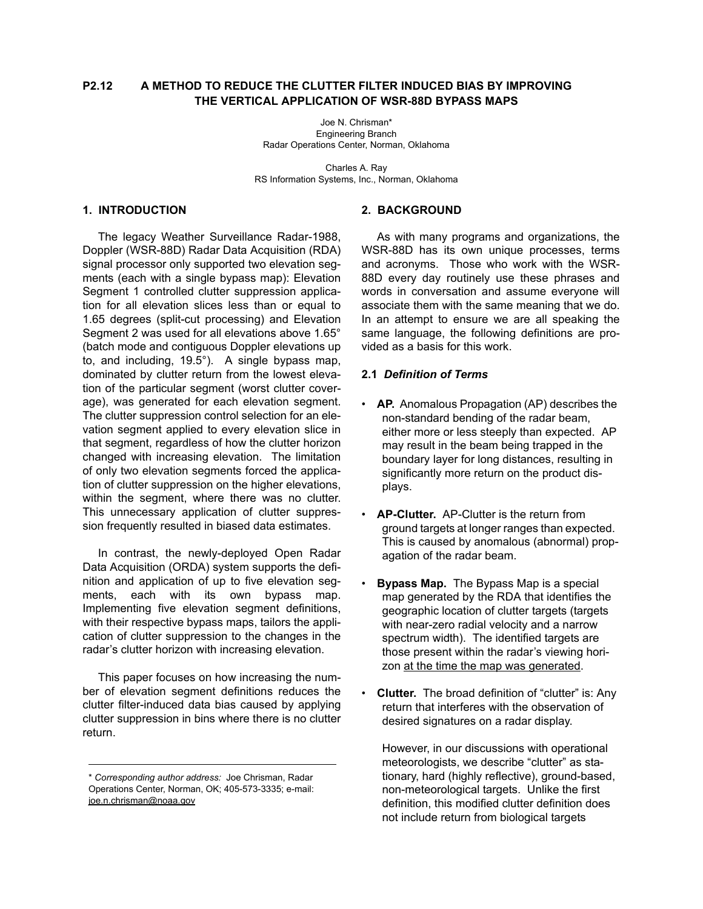## **P2.12 A METHOD TO REDUCE THE CLUTTER FILTER INDUCED BIAS BY IMPROVING THE VERTICAL APPLICATION OF WSR-88D BYPASS MAPS**

Joe N. Chrisman\* Engineering Branch Radar Operations Center, Norman, Oklahoma

Charles A. Ray RS Information Systems, Inc., Norman, Oklahoma

### **1. INTRODUCTION**

The legacy Weather Surveillance Radar-1988, Doppler (WSR-88D) Radar Data Acquisition (RDA) signal processor only supported two elevation segments (each with a single bypass map): Elevation Segment 1 controlled clutter suppression application for all elevation slices less than or equal to 1.65 degrees (split-cut processing) and Elevation Segment 2 was used for all elevations above 1.65° (batch mode and contiguous Doppler elevations up to, and including, 19.5°). A single bypass map, dominated by clutter return from the lowest elevation of the particular segment (worst clutter coverage), was generated for each elevation segment. The clutter suppression control selection for an elevation segment applied to every elevation slice in that segment, regardless of how the clutter horizon changed with increasing elevation. The limitation of only two elevation segments forced the application of clutter suppression on the higher elevations, within the segment, where there was no clutter. This unnecessary application of clutter suppression frequently resulted in biased data estimates.

In contrast, the newly-deployed Open Radar Data Acquisition (ORDA) system supports the definition and application of up to five elevation segments, each with its own bypass map. Implementing five elevation segment definitions, with their respective bypass maps, tailors the application of clutter suppression to the changes in the radar's clutter horizon with increasing elevation.

This paper focuses on how increasing the number of elevation segment definitions reduces the clutter filter-induced data bias caused by applying clutter suppression in bins where there is no clutter return.

### **2. BACKGROUND**

As with many programs and organizations, the WSR-88D has its own unique processes, terms and acronyms. Those who work with the WSR-88D every day routinely use these phrases and words in conversation and assume everyone will associate them with the same meaning that we do. In an attempt to ensure we are all speaking the same language, the following definitions are provided as a basis for this work.

## **2.1** *Definition of Terms*

- **AP.** Anomalous Propagation (AP) describes the non-standard bending of the radar beam, either more or less steeply than expected. AP may result in the beam being trapped in the boundary layer for long distances, resulting in significantly more return on the product displays.
- **AP-Clutter.** AP-Clutter is the return from ground targets at longer ranges than expected. This is caused by anomalous (abnormal) propagation of the radar beam.
- **Bypass Map.** The Bypass Map is a special map generated by the RDA that identifies the geographic location of clutter targets (targets with near-zero radial velocity and a narrow spectrum width). The identified targets are those present within the radar's viewing horizon at the time the map was generated.
- **Clutter.** The broad definition of "clutter" is: Any return that interferes with the observation of desired signatures on a radar display.

However, in our discussions with operational meteorologists, we describe "clutter" as stationary, hard (highly reflective), ground-based, non-meteorological targets. Unlike the first definition, this modified clutter definition does not include return from biological targets

<sup>\*</sup> *Corresponding author address:* Joe Chrisman, Radar Operations Center, Norman, OK; 405-573-3335; e-mail: [joe.n.chrisman@noaa.gov](mailto:joe.n.chrisman@noaa.gov)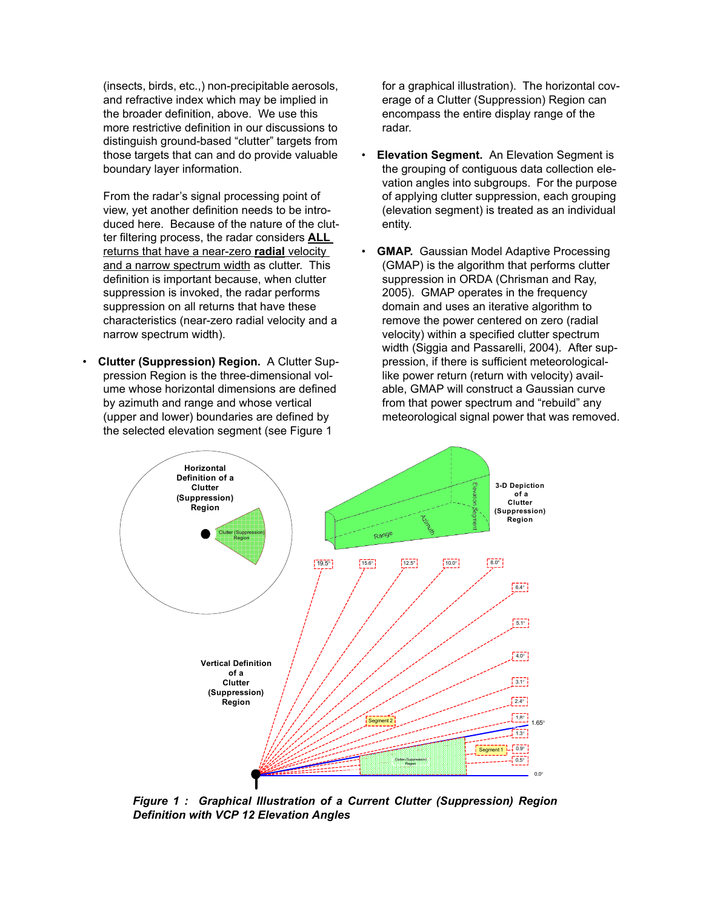(insects, birds, etc.,) non-precipitable aerosols, and refractive index which may be implied in the broader definition, above. We use this more restrictive definition in our discussions to distinguish ground-based "clutter" targets from those targets that can and do provide valuable boundary layer information.

From the radar's signal processing point of view, yet another definition needs to be introduced here. Because of the nature of the clutter filtering process, the radar considers **ALL** returns that have a near-zero **radial** velocity and a narrow spectrum width as clutter. This definition is important because, when clutter suppression is invoked, the radar performs suppression on all returns that have these characteristics (near-zero radial velocity and a narrow spectrum width).

• **Clutter (Suppression) Region.** A Clutter Suppression Region is the three-dimensional volume whose horizontal dimensions are defined by azimuth and range and whose vertical (upper and lower) boundaries are defined by the selected elevation segment (see [Figure 1](#page-1-0)

for a graphical illustration). The horizontal coverage of a Clutter (Suppression) Region can encompass the entire display range of the radar.

- **Elevation Segment.** An Elevation Segment is the grouping of contiguous data collection elevation angles into subgroups. For the purpose of applying clutter suppression, each grouping (elevation segment) is treated as an individual entity.
- **GMAP.** Gaussian Model Adaptive Processing (GMAP) is the algorithm that performs clutter suppression in ORDA (Chrisman and Ray, 2005). GMAP operates in the frequency domain and uses an iterative algorithm to remove the power centered on zero (radial velocity) within a specified clutter spectrum width (Siggia and Passarelli, 2004). After suppression, if there is sufficient meteorologicallike power return (return with velocity) available, GMAP will construct a Gaussian curve from that power spectrum and "rebuild" any meteorological signal power that was removed.



<span id="page-1-0"></span>*Figure 1 : Graphical Illustration of a Current Clutter (Suppression) Region Definition with VCP 12 Elevation Angles*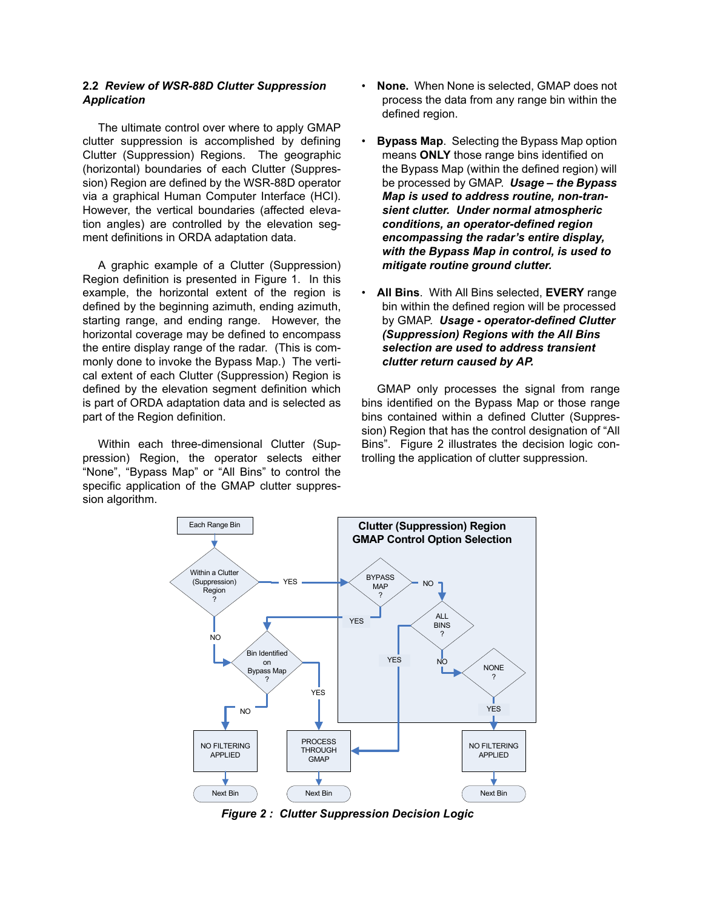#### **2.2** *Review of WSR-88D Clutter Suppression Application*

The ultimate control over where to apply GMAP clutter suppression is accomplished by defining Clutter (Suppression) Regions. The geographic (horizontal) boundaries of each Clutter (Suppression) Region are defined by the WSR-88D operator via a graphical Human Computer Interface (HCI). However, the vertical boundaries (affected elevation angles) are controlled by the elevation segment definitions in ORDA adaptation data.

A graphic example of a Clutter (Suppression) Region definition is presented in [Figure 1](#page-1-0). In this example, the horizontal extent of the region is defined by the beginning azimuth, ending azimuth, starting range, and ending range. However, the horizontal coverage may be defined to encompass the entire display range of the radar. (This is commonly done to invoke the Bypass Map.) The vertical extent of each Clutter (Suppression) Region is defined by the elevation segment definition which is part of ORDA adaptation data and is selected as part of the Region definition.

Within each three-dimensional Clutter (Suppression) Region, the operator selects either "None", "Bypass Map" or "All Bins" to control the specific application of the GMAP clutter suppression algorithm.

- **None.** When None is selected, GMAP does not process the data from any range bin within the defined region.
- **Bypass Map**. Selecting the Bypass Map option means **ONLY** those range bins identified on the Bypass Map (within the defined region) will be processed by GMAP. *Usage – the Bypass Map is used to address routine, non-transient clutter. Under normal atmospheric conditions, an operator-defined region encompassing the radar's entire display, with the Bypass Map in control, is used to mitigate routine ground clutter.*
- **All Bins**. With All Bins selected, **EVERY** range bin within the defined region will be processed by GMAP. *Usage - operator-defined Clutter (Suppression) Regions with the All Bins selection are used to address transient clutter return caused by AP.*

GMAP only processes the signal from range bins identified on the Bypass Map or those range bins contained within a defined Clutter (Suppression) Region that has the control designation of "All Bins". [Figure 2](#page-2-0) illustrates the decision logic controlling the application of clutter suppression.



<span id="page-2-0"></span>*Figure 2 : Clutter Suppression Decision Logic*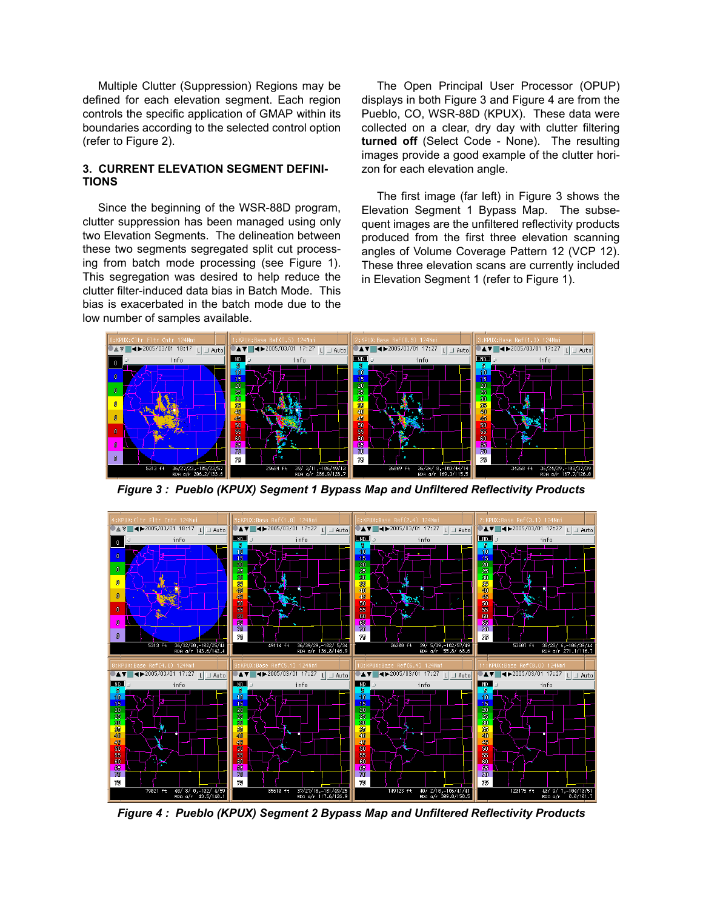Multiple Clutter (Suppression) Regions may be defined for each elevation segment. Each region controls the specific application of GMAP within its boundaries according to the selected control option (refer to [Figure 2](#page-2-0)).

### **3. CURRENT ELEVATION SEGMENT DEFINI-TIONS**

Since the beginning of the WSR-88D program, clutter suppression has been managed using only two Elevation Segments. The delineation between these two segments segregated split cut processing from batch mode processing (see [Figure 1\)](#page-1-0). This segregation was desired to help reduce the clutter filter-induced data bias in Batch Mode. This bias is exacerbated in the batch mode due to the low number of samples available.

The Open Principal User Processor (OPUP) displays in both [Figure 3](#page-3-0) and [Figure 4](#page-3-1) are from the Pueblo, CO, WSR-88D (KPUX). These data were collected on a clear, dry day with clutter filtering **turned off** (Select Code - None). The resulting images provide a good example of the clutter horizon for each elevation angle.

The first image (far left) in [Figure 3](#page-3-0) shows the Elevation Segment 1 Bypass Map. The subsequent images are the unfiltered reflectivity products produced from the first three elevation scanning angles of Volume Coverage Pattern 12 (VCP 12). These three elevation scans are currently included in Elevation Segment 1 (refer to [Figure 1](#page-1-0)).



<span id="page-3-0"></span>*Figure 3 : Pueblo (KPUX) Segment 1 Bypass Map and Unfiltered Reflectivity Products*



<span id="page-3-1"></span>*Figure 4 : Pueblo (KPUX) Segment 2 Bypass Map and Unfiltered Reflectivity Products*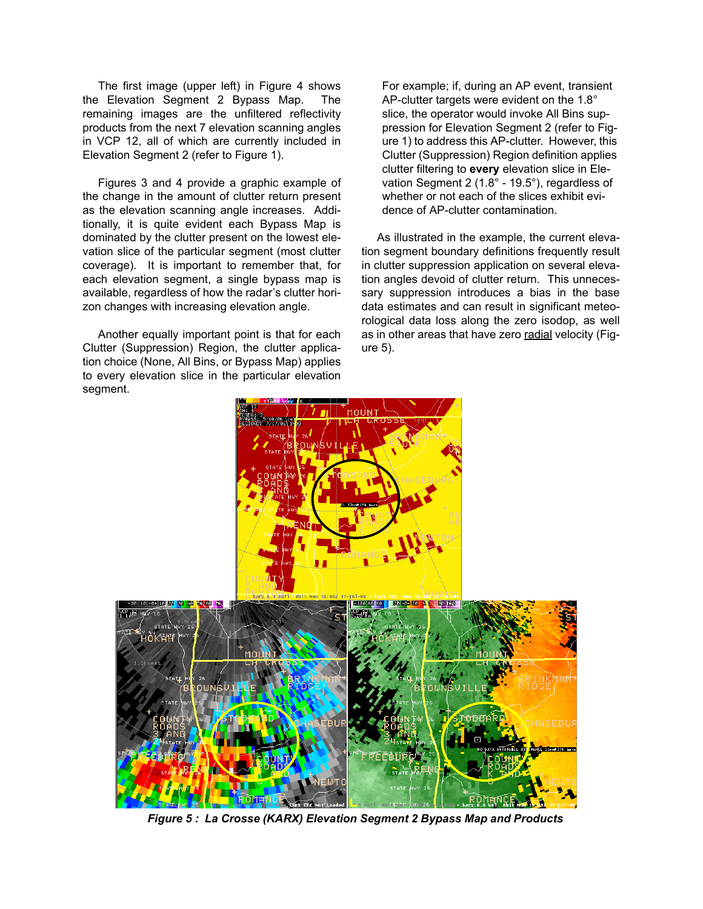The first image (upper left) in [Figure 4](#page-3-1) shows the Elevation Segment 2 Bypass Map. The remaining images are the unfiltered reflectivity products from the next 7 elevation scanning angles in VCP 12, all of which are currently included in Elevation Segment 2 (refer to [Figure 1](#page-1-0)).

Figures 3 and 4 provide a graphic example of the change in the amount of clutter return present as the elevation scanning angle increases. Additionally, it is quite evident each Bypass Map is dominated by the clutter present on the lowest elevation slice of the particular segment (most clutter coverage). It is important to remember that, for each elevation segment, a single bypass map is available, regardless of how the radar's clutter horizon changes with increasing elevation angle.

Another equally important point is that for each Clutter (Suppression) Region, the clutter application choice (None, All Bins, or Bypass Map) applies to every elevation slice in the particular elevation segment.

For example; if, during an AP event, transient AP-clutter targets were evident on the 1.8° slice, the operator would invoke All Bins suppression for Elevation Segment 2 (refer to [Fig](#page-1-0)[ure 1](#page-1-0)) to address this AP-clutter. However, this Clutter (Suppression) Region definition applies clutter filtering to **every** elevation slice in Elevation Segment 2 (1.8° - 19.5°), regardless of whether or not each of the slices exhibit evidence of AP-clutter contamination.

As illustrated in the example, the current elevation segment boundary definitions frequently result in clutter suppression application on several elevation angles devoid of clutter return. This unnecessary suppression introduces a bias in the base data estimates and can result in significant meteorological data loss along the zero isodop, as well as in other areas that have zero radial velocity ([Fig](#page-4-0)[ure 5\)](#page-4-0).



<span id="page-4-0"></span>*Figure 5 : La Crosse (KARX) Elevation Segment 2 Bypass Map and Products*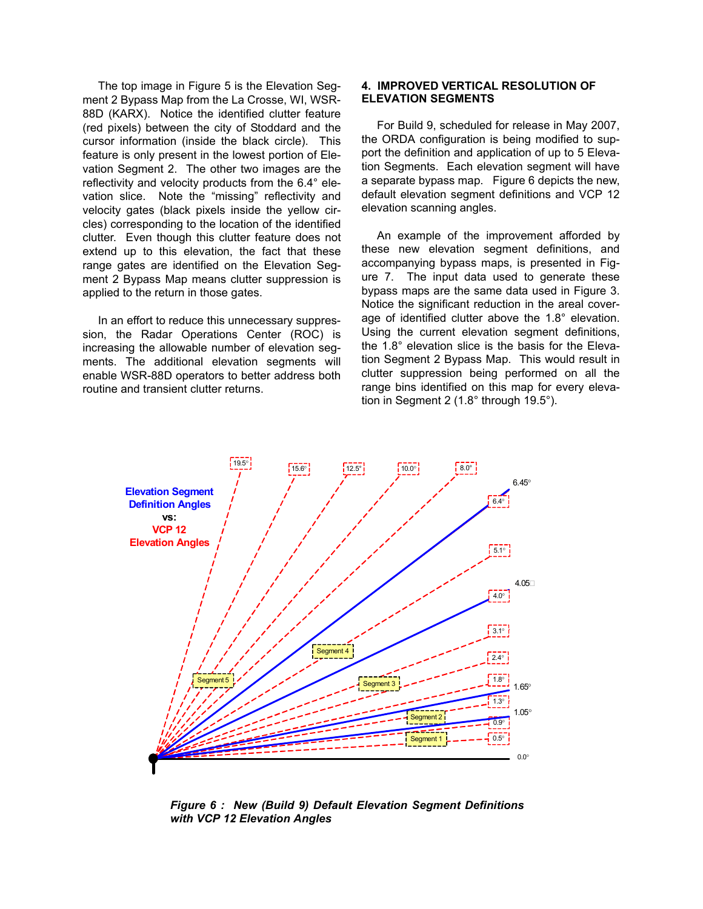The top image in [Figure 5](#page-4-0) is the Elevation Segment 2 Bypass Map from the La Crosse, WI, WSR-88D (KARX). Notice the identified clutter feature (red pixels) between the city of Stoddard and the cursor information (inside the black circle). This feature is only present in the lowest portion of Elevation Segment 2. The other two images are the reflectivity and velocity products from the 6.4° elevation slice. Note the "missing" reflectivity and velocity gates (black pixels inside the yellow circles) corresponding to the location of the identified clutter. Even though this clutter feature does not extend up to this elevation, the fact that these range gates are identified on the Elevation Segment 2 Bypass Map means clutter suppression is applied to the return in those gates.

In an effort to reduce this unnecessary suppression, the Radar Operations Center (ROC) is increasing the allowable number of elevation segments. The additional elevation segments will enable WSR-88D operators to better address both routine and transient clutter returns.

#### **4. IMPROVED VERTICAL RESOLUTION OF ELEVATION SEGMENTS**

For Build 9, scheduled for release in May 2007, the ORDA configuration is being modified to support the definition and application of up to 5 Elevation Segments. Each elevation segment will have a separate bypass map. [Figure 6](#page-5-0) depicts the new, default elevation segment definitions and VCP 12 elevation scanning angles.

An example of the improvement afforded by these new elevation segment definitions, and accompanying bypass maps, is presented in [Fig](#page-6-0)[ure 7.](#page-6-0) The input data used to generate these bypass maps are the same data used in [Figure 3](#page-3-0). Notice the significant reduction in the areal coverage of identified clutter above the 1.8° elevation. Using the current elevation segment definitions, the 1.8° elevation slice is the basis for the Elevation Segment 2 Bypass Map. This would result in clutter suppression being performed on all the range bins identified on this map for every elevation in Segment 2 (1.8° through 19.5°).



<span id="page-5-0"></span>*Figure 6 : New (Build 9) Default Elevation Segment Definitions with VCP 12 Elevation Angles*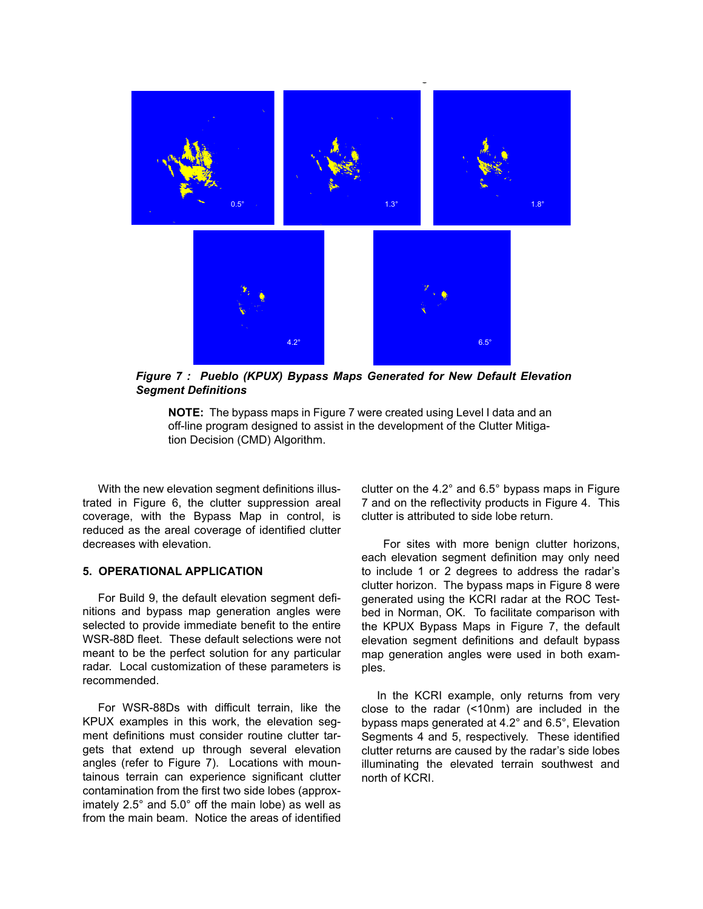

*Figure 7 : Pueblo (KPUX) Bypass Maps Generated for New Default Elevation Segment Definitions*

<span id="page-6-0"></span>**NOTE:** The bypass maps in [Figure 7](#page-6-0) were created using Level I data and an off-line program designed to assist in the development of the Clutter Mitigation Decision (CMD) Algorithm.

With the new elevation segment definitions illustrated in [Figure 6](#page-5-0), the clutter suppression areal coverage, with the Bypass Map in control, is reduced as the areal coverage of identified clutter decreases with elevation.

#### **5. OPERATIONAL APPLICATION**

For Build 9, the default elevation segment definitions and bypass map generation angles were selected to provide immediate benefit to the entire WSR-88D fleet. These default selections were not meant to be the perfect solution for any particular radar. Local customization of these parameters is recommended.

For WSR-88Ds with difficult terrain, like the KPUX examples in this work, the elevation segment definitions must consider routine clutter targets that extend up through several elevation angles (refer to [Figure 7\)](#page-6-0). Locations with mountainous terrain can experience significant clutter contamination from the first two side lobes (approximately 2.5° and 5.0° off the main lobe) as well as from the main beam. Notice the areas of identified clutter on the 4.2° and 6.5° bypass maps in [Figure](#page-6-0) [7](#page-6-0) and on the reflectivity products in [Figure 4.](#page-3-1) This clutter is attributed to side lobe return.

 For sites with more benign clutter horizons, each elevation segment definition may only need to include 1 or 2 degrees to address the radar's clutter horizon. The bypass maps in [Figure 8](#page-7-0) were generated using the KCRI radar at the ROC Testbed in Norman, OK. To facilitate comparison with the KPUX Bypass Maps in [Figure 7,](#page-6-0) the default elevation segment definitions and default bypass map generation angles were used in both examples.

In the KCRI example, only returns from very close to the radar (<10nm) are included in the bypass maps generated at 4.2° and 6.5°, Elevation Segments 4 and 5, respectively. These identified clutter returns are caused by the radar's side lobes illuminating the elevated terrain southwest and north of KCRI.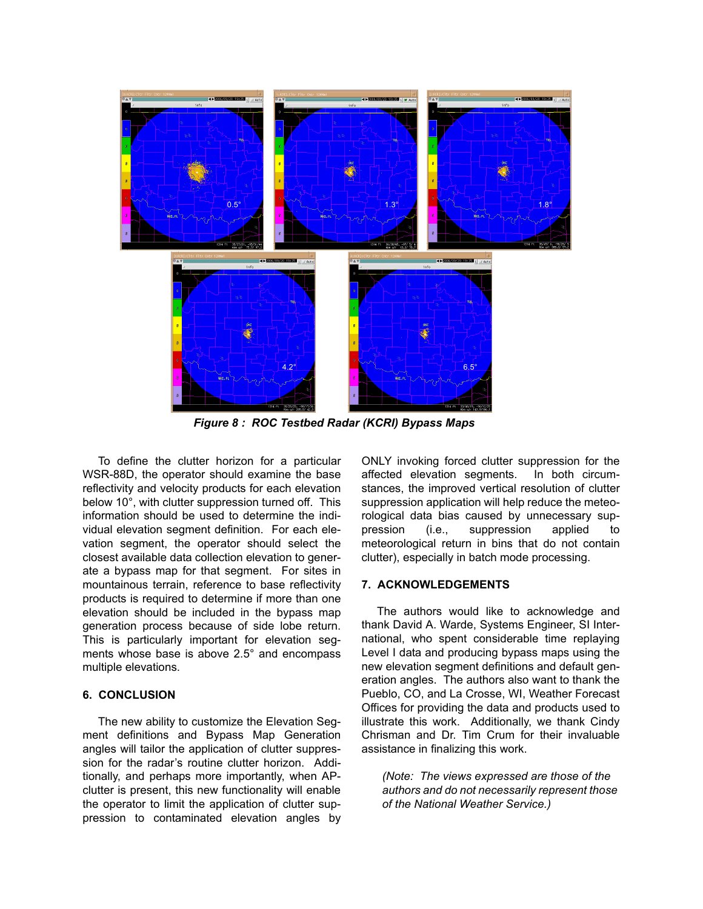

<span id="page-7-0"></span>*Figure 8 : ROC Testbed Radar (KCRI) Bypass Maps*

To define the clutter horizon for a particular WSR-88D, the operator should examine the base reflectivity and velocity products for each elevation below 10°, with clutter suppression turned off. This information should be used to determine the individual elevation segment definition. For each elevation segment, the operator should select the closest available data collection elevation to generate a bypass map for that segment. For sites in mountainous terrain, reference to base reflectivity products is required to determine if more than one elevation should be included in the bypass map generation process because of side lobe return. This is particularly important for elevation segments whose base is above 2.5° and encompass multiple elevations.

## **6. CONCLUSION**

The new ability to customize the Elevation Segment definitions and Bypass Map Generation angles will tailor the application of clutter suppression for the radar's routine clutter horizon. Additionally, and perhaps more importantly, when APclutter is present, this new functionality will enable the operator to limit the application of clutter suppression to contaminated elevation angles by ONLY invoking forced clutter suppression for the affected elevation segments. In both circumstances, the improved vertical resolution of clutter suppression application will help reduce the meteorological data bias caused by unnecessary suppression (i.e., suppression applied to meteorological return in bins that do not contain clutter), especially in batch mode processing.

### **7. ACKNOWLEDGEMENTS**

The authors would like to acknowledge and thank David A. Warde, Systems Engineer, SI International, who spent considerable time replaying Level I data and producing bypass maps using the new elevation segment definitions and default generation angles. The authors also want to thank the Pueblo, CO, and La Crosse, WI, Weather Forecast Offices for providing the data and products used to illustrate this work. Additionally, we thank Cindy Chrisman and Dr. Tim Crum for their invaluable assistance in finalizing this work.

*(Note: The views expressed are those of the authors and do not necessarily represent those of the National Weather Service.)*